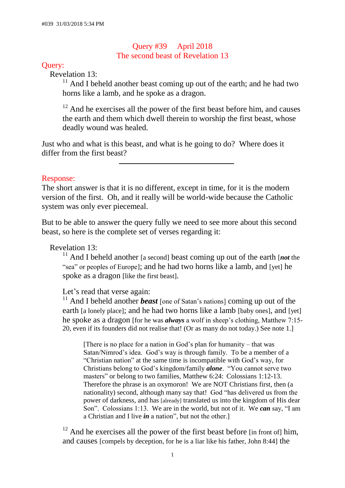## Query #39 April 2018 The second beast of Revelation 13

#### Query:

Revelation 13:

 $11$  And I beheld another beast coming up out of the earth; and he had two horns like a lamb, and he spoke as a dragon.

 $12$  And he exercises all the power of the first beast before him, and causes the earth and them which dwell therein to worship the first beast, whose deadly wound was healed.

Just who and what is this beast, and what is he going to do? Where does it differ from the first beast?

Response:

The short answer is that it is no different, except in time, for it is the modern version of the first. Oh, and it really will be world-wide because the Catholic system was only ever piecemeal.

But to be able to answer the query fully we need to see more about this second beast, so here is the complete set of verses regarding it:

Revelation 13:

<sup>11</sup> And I beheld another [a second] beast coming up out of the earth [*not* the "sea" or peoples of Europe]; and he had two horns like a lamb, and [yet] he spoke as a dragon [like the first beast].

#### Let's read that verse again:

<sup>11</sup> And I beheld another *beast* [one of Satan's nations] coming up out of the earth [a lonely place]; and he had two horns like a lamb [baby ones], and [yet] he spoke as a dragon [for he was *always* a wolf in sheep's clothing, Matthew 7:15- 20, even if its founders did not realise that! (Or as many do not today.) See note 1.]

[There is no place for a nation in God's plan for humanity – that was Satan/Nimrod's idea. God's way is through family. To be a member of a "Christian nation" at the same time is incompatible with God's way, for Christians belong to God's kingdom/family *alone*. "You cannot serve two masters" or belong to two families, Matthew 6:24: Colossians 1:12-13. Therefore the phrase is an oxymoron! We are NOT Christians first, then (a nationality) second, although many say that! God "has delivered us from the power of darkness, and has [already] translated us into the kingdom of His dear Son". Colossians 1:13. We are in the world, but not of it. We *can* say, "I am a Christian and I live *in* a nation", but not the other.]

 $12$  And he exercises all the power of the first beast before [in front of] him, and causes [compels by deception, for he is a liar like his father, John 8:44] the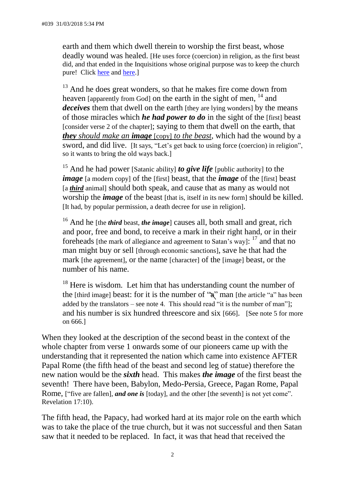earth and them which dwell therein to worship the first beast, whose deadly wound was healed. [He uses force (coercion) in religion, as the first beast did, and that ended in the Inquisitions whose original purpose was to keep the church pure! Click [here](https://en.wikipedia.org/wiki/Spanish_Inquisition) and [here.](https://en.wikipedia.org/wiki/Spanish_Inquisition#Previous_inquisitions)]

 $13$  And he does great wonders, so that he makes fire come down from heaven [apparently from God] on the earth in the sight of men, <sup>14</sup> and *deceives* them that dwell on the earth [they are lying wonders] by the means of those miracles which *he had power to do* in the sight of the [first] beast [consider verse 2 of the chapter]; saying to them that dwell on the earth, that *they should make an image* [copy] *to the beast*, which had the wound by a sword, and did live. It says, "Let's get back to using force (coercion) in religion", so it wants to bring the old ways back.]

<sup>15</sup> And he had power [Satanic ability] *to give life* [public authority] to the *image* [a modern copy] of the [first] beast, that the *image* of the [first] beast [a *third* animal] should both speak, and cause that as many as would not worship the *image* of the beast [that is, itself in its new form] should be killed. [It had, by popular permission, a death decree for use in religion].

<sup>16</sup> And he *[the third beast, the image]* causes all, both small and great, rich and poor, free and bond, to receive a mark in their right hand, or in their foreheads [the mark of allegiance and agreement to Satan's way]: <sup>17</sup> and that no man might buy or sell [through economic sanctions], save he that had the mark [the agreement], or the name [character] of the [image] beast, or the number of his name.

<sup>18</sup> Here is wisdom. Let him that has understanding count the number of the [third image] beast: for it is the number of "\"" man [the article "a" has been added by the translators – see note 4. This should read "it is the number of man"]; and his number is six hundred threescore and six [666]. [See note 5 for more on 666.]

When they looked at the description of the second beast in the context of the whole chapter from verse 1 onwards some of our pioneers came up with the understanding that it represented the nation which came into existence AFTER Papal Rome (the fifth head of the beast and second leg of statue) therefore the new nation would be the *sixth* head. This makes *the image* of the first beast the seventh! There have been, Babylon, Medo-Persia, Greece, Pagan Rome, Papal Rome, ["five are fallen], *and one is* [today], and the other [the seventh] is not yet come". Revelation 17:10).

The fifth head, the Papacy, had worked hard at its major role on the earth which was to take the place of the true church, but it was not successful and then Satan saw that it needed to be replaced. In fact, it was that head that received the

2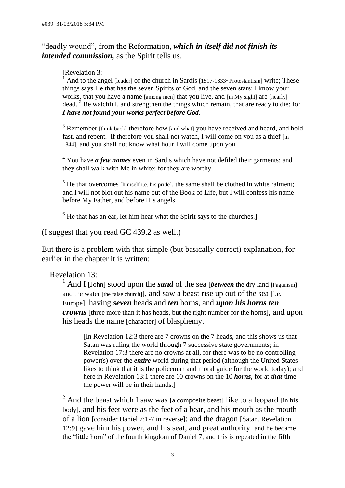## "deadly wound", from the Reformation, *which in itself did not finish its intended commission*, as the Spirit tells us.

#### [Revelation 3:

And to the angel [leader] of the church in Sardis [1517-1833~Protestantism] write; These things says He that has the seven Spirits of God, and the seven stars; I know your works, that you have a name [among men] that you live, and [in My sight] are [nearly] dead.  $2$  Be watchful, and strengthen the things which remain, that are ready to die: for *I have not found your works perfect before God*.

<sup>3</sup> Remember [think back] therefore how [and what] you have received and heard, and hold fast, and repent. If therefore you shall not watch, I will come on you as a thief [in 1844], and you shall not know what hour I will come upon you.

<sup>4</sup> You have *a few names* even in Sardis which have not defiled their garments; and they shall walk with Me in white: for they are worthy.

 $<sup>5</sup>$  He that overcomes [himself i.e. his pride], the same shall be clothed in white raiment;</sup> and I will not blot out his name out of the Book of Life, but I will confess his name before My Father, and before His angels.

 $6$  He that has an ear, let him hear what the Spirit says to the churches.

(I suggest that you read GC 439.2 as well.)

But there is a problem with that simple (but basically correct) explanation, for earlier in the chapter it is written:

#### Revelation 13:

<sup>1</sup> And I [John] stood upon the *sand* of the sea [*between* the dry land [Paganism] and the water [the false church]], and saw a beast rise up out of the sea [i.e.] Europe], having *seven* heads and *ten* horns, and *upon his horns ten crowns* [three more than it has heads, but the right number for the horns], and upon his heads the name [character] of blasphemy.

[In Revelation 12:3 there are 7 crowns on the 7 heads, and this shows us that Satan was ruling the world through 7 successive state governments; in Revelation 17:3 there are no crowns at all, for there was to be no controlling power(s) over the *entire* world during that period (although the United States likes to think that it is the policeman and moral guide for the world today); and here in Revelation 13:1 there are 10 crowns on the 10 *horns*, for at *that* time the power will be in their hands.]

 $2^2$  And the beast which I saw was [a composite beast] like to a leopard [in his body], and his feet were as the feet of a bear, and his mouth as the mouth of a lion [consider Daniel 7:1-7 in reverse]: and the dragon [Satan, Revelation 12:9] gave him his power, and his seat, and great authority [and he became the "little horn" of the fourth kingdom of Daniel 7, and this is repeated in the fifth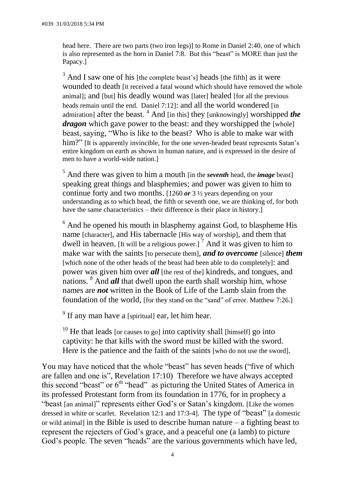head here. There are two parts (two iron legs)] to Rome in Daniel 2:40, one of which is also represented as the horn in Daniel 7:8. But this "beast" is MORE than just the Papacy.]

 $3$  And I saw one of his [the complete beast's] heads [the fifth] as it were wounded to death [it received a fatal wound which should have removed the whole animal]; and [but] his deadly wound was [later] healed [for all the previous heads remain until the end. Daniel 7:12]: and all the world wondered [in admiration] after the beast.  $4$  And [in this] they [unknowingly] worshipped *the dragon* which gave power to the beast: and they worshipped the [whole] beast, saying, "Who is like to the beast? Who is able to make war with him?" It is apparently invincible, for the one seven-headed beast represents Satan's entire kingdom on earth as shown in human nature, and is expressed in the desire of men to have a world-wide nation.]

<sup>5</sup> And there was given to him a mouth [in the *seventh* head, the *image* beast] speaking great things and blasphemies; and power was given to him to continue forty and two months. [1260 *or* 3 ½ years depending on your understanding as to which head, the fifth or seventh one, we are thinking of, for both have the same characteristics – their difference is their place in history.]

 $6$  And he opened his mouth in blasphemy against God, to blaspheme His name [character], and His tabernacle [His way of worship], and them that dwell in heaven. [It will be a religious power.]  $\frac{7}{7}$  And it was given to him to make war with the saints [to persecute them], *and to overcome* [silence] *them* [which none of the other heads of the beast had been able to do completely]: and power was given him over *all* [the rest of the] kindreds, and tongues, and nations. <sup>8</sup> And *all* that dwell upon the earth shall worship him, whose names are *not* written in the Book of Life of the Lamb slain from the foundation of the world, [for they stand on the "sand" of error. Matthew 7:26.]

 $9$  If any man have a [spiritual] ear, let him hear.

 $10$  He that leads [or causes to go] into captivity shall [himself] go into captivity: he that kills with the sword must be killed with the sword. Here is the patience and the faith of the saints [who do not use the sword].

You may have noticed that the whole "beast" has seven heads ("five of which are fallen and one is", Revelation 17:10) Therefore we have always accepted this second "beast" or  $6<sup>th</sup>$  "head" as picturing the United States of America in its professed Protestant form from its foundation in 1776, for in prophecy a "beast [an animal]" represents either God's or Satan's kingdom. [Like the women dressed in white or scarlet. Revelation 12:1 and 17:3-4]. The type of "beast" [a domestic or wild animall in the Bible is used to describe human nature  $-$  a fighting beast to represent the rejecters of God's grace, and a peaceful one (a lamb) to picture God's people. The seven "heads" are the various governments which have led,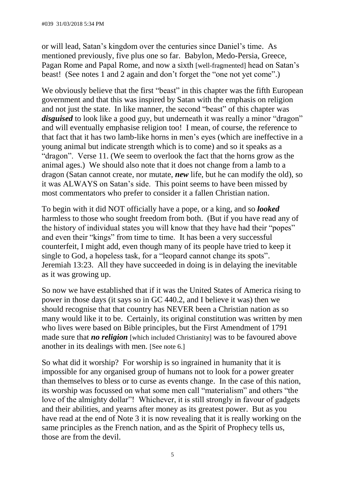or will lead, Satan's kingdom over the centuries since Daniel's time. As mentioned previously, five plus one so far. Babylon, Medo-Persia, Greece, Pagan Rome and Papal Rome, and now a sixth [well-fragmented] head on Satan's beast! (See notes 1 and 2 again and don't forget the "one not yet come".)

We obviously believe that the first "beast" in this chapter was the fifth European government and that this was inspired by Satan with the emphasis on religion and not just the state. In like manner, the second "beast" of this chapter was *disguised* to look like a good guy, but underneath it was really a minor "dragon" and will eventually emphasise religion too! I mean, of course, the reference to that fact that it has two lamb-like horns in men's eyes (which are ineffective in a young animal but indicate strength which is to come) and so it speaks as a "dragon". Verse 11. (We seem to overlook the fact that the horns grow as the animal ages.) We should also note that it does not change from a lamb to a dragon (Satan cannot create, nor mutate, *new* life, but he can modify the old), so it was ALWAYS on Satan's side. This point seems to have been missed by most commentators who prefer to consider it a fallen Christian nation.

To begin with it did NOT officially have a pope, or a king, and so *looked* harmless to those who sought freedom from both. (But if you have read any of the history of individual states you will know that they have had their "popes" and even their "kings" from time to time. It has been a very successful counterfeit, I might add, even though many of its people have tried to keep it single to God, a hopeless task, for a "leopard cannot change its spots". Jeremiah 13:23. All they have succeeded in doing is in delaying the inevitable as it was growing up.

So now we have established that if it was the United States of America rising to power in those days (it says so in GC 440.2, and I believe it was) then we should recognise that that country has NEVER been a Christian nation as so many would like it to be. Certainly, its original constitution was written by men who lives were based on Bible principles, but the First Amendment of 1791 made sure that *no religion* [which included Christianity] was to be favoured above another in its dealings with men. [See note 6.]

So what did it worship? For worship is so ingrained in humanity that it is impossible for any organised group of humans not to look for a power greater than themselves to bless or to curse as events change. In the case of this nation, its worship was focussed on what some men call "materialism" and others "the love of the almighty dollar"! Whichever, it is still strongly in favour of gadgets and their abilities, and yearns after money as its greatest power. But as you have read at the end of Note 3 it is now revealing that it is really working on the same principles as the French nation, and as the Spirit of Prophecy tells us, those are from the devil.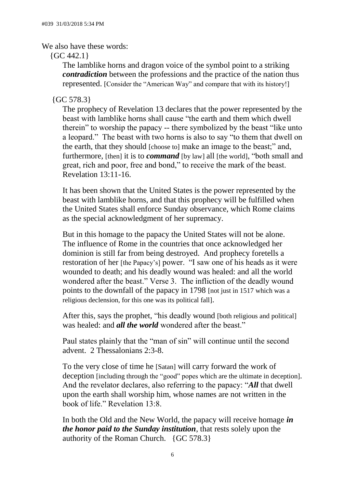#### We also have these words:

 ${GC 442.1}$ 

The lamblike horns and dragon voice of the symbol point to a striking *contradiction* between the professions and the practice of the nation thus represented. [Consider the "American Way" and compare that with its history!]

### {GC 578.3}

The prophecy of Revelation 13 declares that the power represented by the beast with lamblike horns shall cause "the earth and them which dwell therein" to worship the papacy -- there symbolized by the beast "like unto a leopard." The beast with two horns is also to say "to them that dwell on the earth, that they should [choose to] make an image to the beast;" and, furthermore, [then] it is to *command* [by law] all [the world], "both small and great, rich and poor, free and bond," to receive the mark of the beast. Revelation 13:11-16.

It has been shown that the United States is the power represented by the beast with lamblike horns, and that this prophecy will be fulfilled when the United States shall enforce Sunday observance, which Rome claims as the special acknowledgment of her supremacy.

But in this homage to the papacy the United States will not be alone. The influence of Rome in the countries that once acknowledged her dominion is still far from being destroyed. And prophecy foretells a restoration of her [the Papacy's] power. "I saw one of his heads as it were wounded to death; and his deadly wound was healed: and all the world wondered after the beast." Verse 3. The infliction of the deadly wound points to the downfall of the papacy in 1798 [not just in 1517 which was a religious declension, for this one was its political fall].

After this, says the prophet, "his deadly wound [both religious and political] was healed: and *all the world* wondered after the beast."

Paul states plainly that the "man of sin" will continue until the second advent. 2 Thessalonians 2:3-8.

To the very close of time he [Satan] will carry forward the work of deception [including through the "good" popes which are the ultimate in deception]. And the revelator declares, also referring to the papacy: "*All* that dwell upon the earth shall worship him, whose names are not written in the book of life." Revelation 13:8.

In both the Old and the New World, the papacy will receive homage *in the honor paid to the Sunday institution*, that rests solely upon the authority of the Roman Church. {GC 578.3}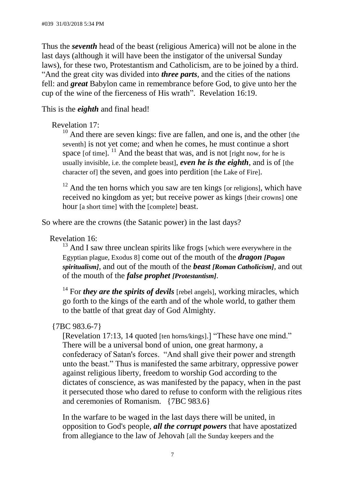Thus the *seventh* head of the beast (religious America) will not be alone in the last days (although it will have been the instigator of the universal Sunday laws), for these two, Protestantism and Catholicism, are to be joined by a third. "And the great city was divided into *three parts*, and the cities of the nations fell: and *great* Babylon came in remembrance before God, to give unto her the cup of the wine of the fierceness of His wrath". Revelation 16:19.

# This is the *eighth* and final head!

# Revelation 17:

<sup>10</sup> And there are seven kings: five are fallen, and one is, and the other [the seventh] is not yet come; and when he comes, he must continue a short space [of time].  $^{11}$  And the beast that was, and is not [right now, for he is usually invisible, i.e. the complete beast], *even he is the eighth*, and is of [the character of] the seven, and goes into perdition [the Lake of Fire].

 $12$  And the ten horns which you saw are ten kings [or religions], which have received no kingdom as yet; but receive power as kings [their crowns] one hour [a short time] with the [complete] beast.

So where are the crowns (the Satanic power) in the last days?

# Revelation 16:

 $13$  And I saw three unclean spirits like frogs [which were everywhere in the Egyptian plague, Exodus 8] come out of the mouth of the *dragon [Pagan spiritualism]*, and out of the mouth of the *beast [Roman Catholicism]*, and out of the mouth of the *false prophet [Protestantism]*.

<sup>14</sup> For *they are the spirits of devils* [rebel angels], working miracles, which go forth to the kings of the earth and of the whole world, to gather them to the battle of that great day of God Almighty.

# {7BC 983.6-7}

[Revelation 17:13, 14 quoted [ten horns/kings].] "These have one mind." There will be a universal bond of union, one great harmony, a confederacy of Satan's forces. "And shall give their power and strength unto the beast." Thus is manifested the same arbitrary, oppressive power against religious liberty, freedom to worship God according to the dictates of conscience, as was manifested by the papacy, when in the past it persecuted those who dared to refuse to conform with the religious rites and ceremonies of Romanism. {7BC 983.6}

In the warfare to be waged in the last days there will be united, in opposition to God's people, *all the corrupt powers* that have apostatized from allegiance to the law of Jehovah [all the Sunday keepers and the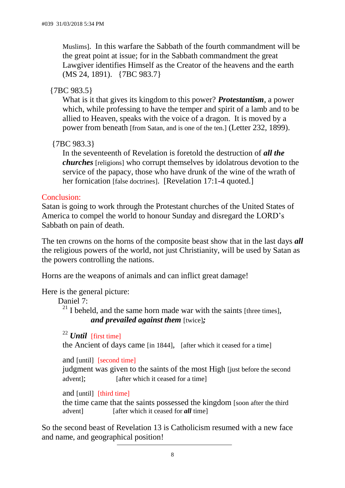Muslims]. In this warfare the Sabbath of the fourth commandment will be the great point at issue; for in the Sabbath commandment the great Lawgiver identifies Himself as the Creator of the heavens and the earth (MS 24, 1891). {7BC 983.7}

# {7BC 983.5}

What is it that gives its kingdom to this power? *Protestantism*, a power which, while professing to have the temper and spirit of a lamb and to be allied to Heaven, speaks with the voice of a dragon. It is moved by a power from beneath [from Satan, and is one of the ten.] (Letter 232, 1899).

# {7BC 983.3}

In the seventeenth of Revelation is foretold the destruction of *all the churches* [religions] who corrupt themselves by idolatrous devotion to the service of the papacy, those who have drunk of the wine of the wrath of her fornication [false doctrines]. [Revelation 17:1-4 quoted.]

## Conclusion:

Satan is going to work through the Protestant churches of the United States of America to compel the world to honour Sunday and disregard the LORD's Sabbath on pain of death.

The ten crowns on the horns of the composite beast show that in the last days *all* the religious powers of the world, not just Christianity, will be used by Satan as the powers controlling the nations.

Horns are the weapons of animals and can inflict great damage!

Here is the general picture:

```
 Daniel 7:
```
 $21$  I beheld, and the same horn made war with the saints [three times], *and prevailed against them* [twice]*;* 

<sup>22</sup> *Until* [first time] the Ancient of days came [in 1844], [after which it ceased for a time]

```
and [until] [second time]
```
judgment was given to the saints of the most High [just before the second advent];  $[after which it ceased for a time]$ 

and [until] [third time]

the time came that the saints possessed the kingdom [soon after the third advent] [after which it ceased for *all* time]

So the second beast of Revelation 13 is Catholicism resumed with a new face and name, and geographical position!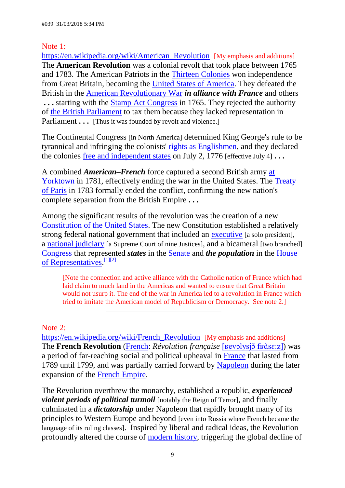# Note 1:

[https://en.wikipedia.org/wiki/American\\_Revolution](https://en.wikipedia.org/wiki/American_Revolution) [My emphasis and additions] The **American Revolution** was a colonial revolt that took place between 1765 and 1783. The American Patriots in the [Thirteen Colonies](https://en.wikipedia.org/wiki/Thirteen_Colonies) won independence from Great Britain, becoming the [United States of America.](https://en.wikipedia.org/wiki/United_States) They defeated the British in the [American Revolutionary War](https://en.wikipedia.org/wiki/American_Revolutionary_War) *in alliance with France* and others **. . .** starting with the [Stamp Act Congress](https://en.wikipedia.org/wiki/Stamp_Act_Congress) in 1765. They rejected the authority of [the British Parliament](https://en.wikipedia.org/wiki/Parliament_of_Great_Britain) to tax them because they lacked representation in Parliament . . . [Thus it was founded by revolt and violence.]

The Continental Congress [in North America] determined King George's rule to be tyrannical and infringing the colonists' [rights as Englishmen,](https://en.wikipedia.org/wiki/Rights_of_Englishmen) and they declared the colonies [free and independent states](https://en.wikipedia.org/wiki/Lee_Resolution) on July 2, 1776 [effective July 4] **. . .**

A combined *American–French* force captured a second British army [at](https://en.wikipedia.org/wiki/Siege_of_Yorktown)  [Yorktown](https://en.wikipedia.org/wiki/Siege_of_Yorktown) in 1781, effectively ending the war in the United States. The [Treaty](https://en.wikipedia.org/wiki/Treaty_of_Paris_%281783%29)  [of Paris](https://en.wikipedia.org/wiki/Treaty_of_Paris_%281783%29) in 1783 formally ended the conflict, confirming the new nation's complete separation from the British Empire **. . .** 

Among the significant results of the revolution was the creation of a new [Constitution of the United States.](https://en.wikipedia.org/wiki/United_States_Constitution) The new Constitution established a relatively strong federal national government that included an [executive](https://en.wikipedia.org/wiki/President_of_the_United_States) [a solo president], a [national judiciary](https://en.wikipedia.org/wiki/United_States_Supreme_Court) [a Supreme Court of nine Justices], and a bicameral [two branched] [Congress](https://en.wikipedia.org/wiki/Congress_of_the_United_States) that represented *states* in the [Senate](https://en.wikipedia.org/wiki/United_States_Senate) and *the population* in the [House](https://en.wikipedia.org/wiki/United_States_House_of_Representatives)  [of Representatives.](https://en.wikipedia.org/wiki/United_States_House_of_Representatives)<sup>[\[1\]\[2\]](https://en.wikipedia.org/wiki/American_Revolution#cite_note-Wood.2C_1992-1)</sup>

[Note the connection and active alliance with the Catholic nation of France which had laid claim to much land in the Americas and wanted to ensure that Great Britain would not usurp it. The end of the war in America led to a revolution in France which tried to imitate the American model of Republicism or Democracy. See note 2.]

# Note 2:

[https://en.wikipedia.org/wiki/French\\_Revolution](https://en.wikipedia.org/wiki/French_Revolution) [My emphasis and additions] The **French Revolution** [\(French:](https://en.wikipedia.org/wiki/French_language) *Révolution française* [kevolysjõ fkãsɛːz]) was a period of far-reaching social and political upheaval in [France](https://en.wikipedia.org/wiki/France) that lasted from 1789 until 1799, and was partially carried forward by [Napoleon](https://en.wikipedia.org/wiki/Napoleon) during the later expansion of the [French Empire.](https://en.wikipedia.org/wiki/First_French_Empire)

The Revolution overthrew the monarchy, established a republic, *experienced violent periods of political turmoil* [notably the Reign of Terror], and finally culminated in a *dictatorship* under Napoleon that rapidly brought many of its principles to Western Europe and beyond [even into Russia where French became the language of its ruling classes]. Inspired by liberal and radical ideas, the Revolution profoundly altered the course of [modern history,](https://en.wikipedia.org/wiki/Modern_history) triggering the global decline of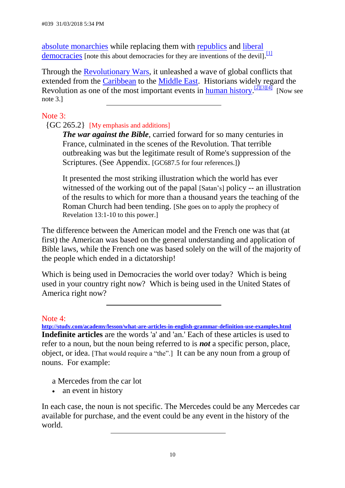[absolute monarchies](https://en.wikipedia.org/wiki/Absolute_monarchy) while replacing them with [republics](https://en.wikipedia.org/wiki/Republics) and [liberal](https://en.wikipedia.org/wiki/Liberal_democracy)   $d$ emocracies [note this about [democracies](https://en.wikipedia.org/wiki/Liberal_democracy) for they are inventions of the devil].<sup>[\[1\]](https://en.wikipedia.org/wiki/French_Revolution#cite_note-1)</sup>

Through the [Revolutionary Wars,](https://en.wikipedia.org/wiki/French_Revolutionary_Wars) it unleashed a wave of global conflicts that extended from the [Caribbean](https://en.wikipedia.org/wiki/Caribbean_Sea) to the [Middle East.](https://en.wikipedia.org/wiki/Middle_East) Historians widely regard the Revolution as one of the most important events in [human history.](https://en.wikipedia.org/wiki/Human_history) <sup>[\[2\]\[3\]](https://en.wikipedia.org/wiki/French_Revolution#cite_note-Linda_S_2004-2)[\[4\]](https://en.wikipedia.org/wiki/French_Revolution#cite_note-Ferenc_Feh.C3.A9r_1990_pp._117-30-4)</sup> [Now see note 3.]

## Note 3:

{GC 265.2} [My emphasis and additions]

*The war against the Bible*, carried forward for so many centuries in France, culminated in the scenes of the Revolution. That terrible outbreaking was but the legitimate result of Rome's suppression of the Scriptures. (See Appendix. [GC687.5 for four references.])

It presented the most striking illustration which the world has ever witnessed of the working out of the papal [Satan's] policy -- an illustration of the results to which for more than a thousand years the teaching of the Roman Church had been tending. [She goes on to apply the prophecy of Revelation 13:1-10 to this power.]

The difference between the American model and the French one was that (at first) the American was based on the general understanding and application of Bible laws, while the French one was based solely on the will of the majority of the people which ended in a dictatorship!

Which is being used in Democracies the world over today? Which is being used in your country right now? Which is being used in the United States of America right now?

Note 4:

**<http://study.com/academy/lesson/what-are-articles-in-english-grammar-definition-use-examples.html> Indefinite articles** are the words 'a' and 'an.' Each of these articles is used to refer to a noun, but the noun being referred to is *not* a specific person, place, object, or idea. [That would require a "the".] It can be any noun from a group of nouns. For example:

a Mercedes from the car lot

• an event in history

In each case, the noun is not specific. The Mercedes could be any Mercedes car available for purchase, and the event could be any event in the history of the world.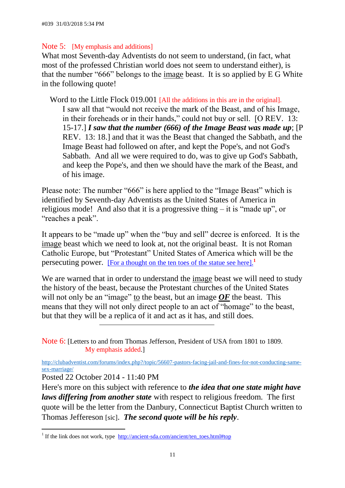### Note 5: [My emphasis and additions]

What most Seventh-day Adventists do not seem to understand, (in fact, what most of the professed Christian world does not seem to understand either), is that the number "666" belongs to the image beast. It is so applied by E G White in the following quote!

Word to the Little Flock 019.001 [All the additions in this are in the original].

I saw all that "would not receive the mark of the Beast, and of his Image, in their foreheads or in their hands," could not buy or sell. [O REV. 13: 15-17.] *I saw that the number (666) of the Image Beast was made up*; [P REV. 13: 18.] and that it was the Beast that changed the Sabbath, and the Image Beast had followed on after, and kept the Pope's, and not God's Sabbath. And all we were required to do, was to give up God's Sabbath, and keep the Pope's, and then we should have the mark of the Beast, and of his image.

Please note: The number "666" is here applied to the "Image Beast" which is identified by Seventh-day Adventists as the United States of America in religious mode! And also that it is a progressive thing – it is "made up", or "reaches a peak".

It appears to be "made up" when the "buy and sell" decree is enforced. It is the image beast which we need to look at, not the original beast. It is not Roman Catholic Europe, but "Protestant" United States of America which will be the persecuting power. [For a thought on [the ten toes of the statue see here\].](http://ancient-sda.com/ancient/ten_toes.html#top)**<sup>1</sup>**

We are warned that in order to understand the image beast we will need to study the history of the beast, because the Protestant churches of the United States will not only be an "image" to the beast, but an image OF the beast. This means that they will not only direct people to an act of "homage" to the beast, but that they will be a replica of it and act as it has, and still does.

Note 6: [Letters to and from Thomas Jefferson, President of USA from 1801 to 1809. My emphasis added.]

[http://clubadventist.com/forums/index.php?/topic/56607-pastors-facing-jail-and-fines-for-not-conducting-same](http://clubadventist.com/forums/index.php?/topic/56607-pastors-facing-jail-and-fines-for-not-conducting-same-sex-marriage/)[sex-marriage/](http://clubadventist.com/forums/index.php?/topic/56607-pastors-facing-jail-and-fines-for-not-conducting-same-sex-marriage/)

Posted 22 October 2014 - 11:40 PM

 $\overline{a}$ 

Here's more on this subject with reference to *the idea that one state might have laws differing from another state* with respect to religious freedom. The first quote will be the letter from the Danbury, Connecticut Baptist Church written to Thomas Jeffereson [sic]. *The second quote will be his reply*.

<sup>&</sup>lt;sup>1</sup> If the link does not work, type [http://ancient-sda.com/ancient/ten\\_toes.html#top](http://ancient-sda.com/ancient/ten_toes.html#top)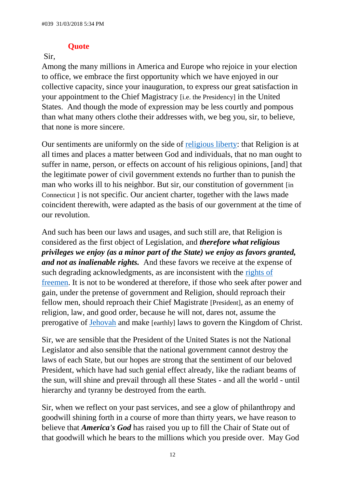## **Quote**

Sir,

Among the many millions in America and Europe who rejoice in your election to office, we embrace the first opportunity which we have enjoyed in our collective capacity, since your inauguration, to express our great satisfaction in your appointment to the Chief Magistracy [i.e. the Presidency] in the United States. And though the mode of expression may be less courtly and pompous than what many others clothe their addresses with, we beg you, sir, to believe, that none is more sincere.

Our sentiments are uniformly on the side of [religious liberty:](http://en.wikipedia.org/wiki/Freedom_of_religion) that Religion is at all times and places a matter between God and individuals, that no man ought to suffer in name, person, or effects on account of his religious opinions, [and] that the legitimate power of civil government extends no further than to punish the man who works ill to his neighbor. But sir, our constitution of government [in Connecticut 1 is not specific. Our ancient charter, together with the laws made coincident therewith, were adapted as the basis of our government at the time of our revolution.

And such has been our laws and usages, and such still are, that Religion is considered as the first object of Legislation, and *therefore what religious privileges we enjoy (as a minor part of the State) we enjoy as favors granted, and not as inalienable rights.* And these favors we receive at the expense of such degrading acknowledgments, as are inconsistent with the [rights of](http://en.wikipedia.org/wiki/Rights_of_Englishmen)  [freemen.](http://en.wikipedia.org/wiki/Rights_of_Englishmen) It is not to be wondered at therefore, if those who seek after power and gain, under the pretense of government and Religion, should reproach their fellow men, should reproach their Chief Magistrate [President], as an enemy of religion, law, and good order, because he will not, dares not, assume the prerogative of [Jehovah](http://en.wikipedia.org/wiki/Jehovah) and make [earthly] laws to govern the Kingdom of Christ.

Sir, we are sensible that the President of the United States is not the National Legislator and also sensible that the national government cannot destroy the laws of each State, but our hopes are strong that the sentiment of our beloved President, which have had such genial effect already, like the radiant beams of the sun, will shine and prevail through all these States - and all the world - until hierarchy and tyranny be destroyed from the earth.

Sir, when we reflect on your past services, and see a glow of philanthropy and goodwill shining forth in a course of more than thirty years, we have reason to believe that *America's God* has raised you up to fill the Chair of State out of that goodwill which he bears to the millions which you preside over. May God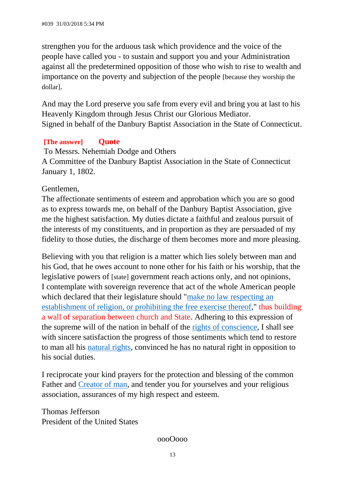strengthen you for the arduous task which providence and the voice of the people have called you - to sustain and support you and your Administration against all the predetermined opposition of those who wish to rise to wealth and importance on the poverty and subjection of the people [because they worship the dollar].

And may the Lord preserve you safe from every evil and bring you at last to his Heavenly Kingdom through Jesus Christ our Glorious Mediator. Signed in behalf of the Danbury Baptist Association in the State of Connecticut.

## **[The answer] Quote**

To Messrs. Nehemiah Dodge and Others A Committee of the Danbury Baptist Association in the State of Connecticut January 1, 1802.

#### Gentlemen,

The affectionate sentiments of esteem and approbation which you are so good as to express towards me, on behalf of the Danbury Baptist Association, give me the highest satisfaction. My duties dictate a faithful and zealous pursuit of the interests of my constituents, and in proportion as they are persuaded of my fidelity to those duties, the discharge of them becomes more and more pleasing.

Believing with you that religion is a matter which lies solely between man and his God, that he owes account to none other for his faith or his worship, that the legislative powers of [state] government reach actions only, and not opinions, I contemplate with sovereign reverence that act of the whole American people which declared that their legislature should ["make no law respecting an](http://en.wikisource.org/wiki/United_States_Bill_of_Rights)  [establishment of religion, or prohibiting the free exercise thereof,](http://en.wikisource.org/wiki/United_States_Bill_of_Rights)" thus building a wall of separation between church and State. Adhering to this expression of the supreme will of the nation in behalf of the [rights of conscience,](http://en.wikipedia.org/wiki/Freedom_of_conscience) I shall see with sincere satisfaction the progress of those sentiments which tend to restore to man all his [natural rights,](http://en.wikipedia.org/wiki/Natural_rights) convinced he has no natural right in opposition to his social duties.

I reciprocate your kind prayers for the protection and blessing of the common Father and [Creator of man,](http://en.wikipedia.org/wiki/Creation_of_man) and tender you for yourselves and your religious association, assurances of my high respect and esteem.

Thomas Jefferson President of the United States

#### oooOooo